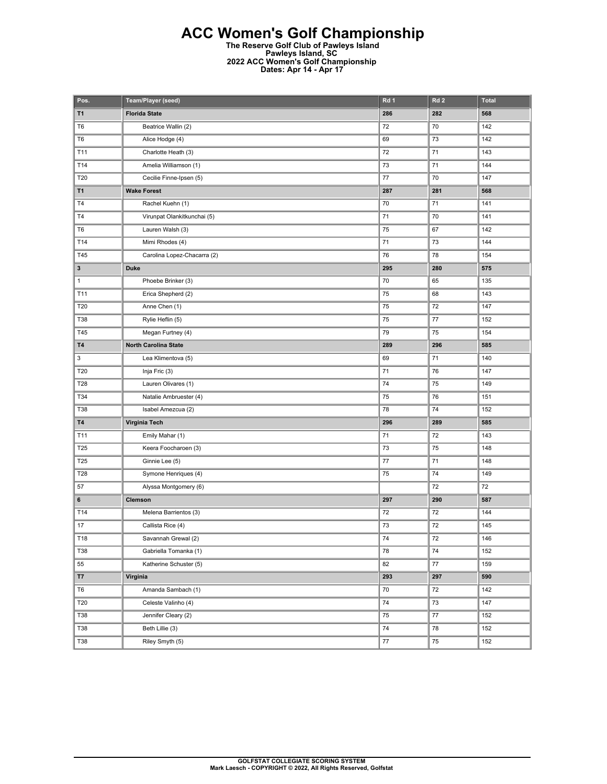## **ACC Women's Golf Championship**

**The Reserve Golf Club of Pawleys Island Pawleys Island, SC 2022 ACC Women's Golf Championship Dates: Apr 14 - Apr 17** 

| Pos.           | Team/Player (seed)          | Rd 1 | Rd <sub>2</sub> | <b>Total</b> |
|----------------|-----------------------------|------|-----------------|--------------|
| T1             | <b>Florida State</b>        | 286  | 282             | 568          |
| T <sub>6</sub> | Beatrice Wallin (2)         | 72   | 70              | 142          |
| T <sub>6</sub> | Alice Hodge (4)             | 69   | 73              | 142          |
| T11            | Charlotte Heath (3)         | 72   | 71              | 143          |
| T14            | Amelia Williamson (1)       | 73   | 71              | 144          |
| T20            | Cecilie Finne-Ipsen (5)     | 77   | 70              | 147          |
| T1             | <b>Wake Forest</b>          | 287  | 281             | 568          |
| T4             | Rachel Kuehn (1)            | 70   | 71              | 141          |
| T4             | Virunpat Olankitkunchai (5) | 71   | 70              | 141          |
| T <sub>6</sub> | Lauren Walsh (3)            | 75   | 67              | 142          |
| T14            | Mimi Rhodes (4)             | 71   | 73              | 144          |
| T45            | Carolina Lopez-Chacarra (2) | 76   | 78              | 154          |
| 3              | <b>Duke</b>                 | 295  | 280             | 575          |
| $\mathbf{1}$   | Phoebe Brinker (3)          | 70   | 65              | 135          |
| T11            | Erica Shepherd (2)          | 75   | 68              | 143          |
| T20            | Anne Chen (1)               | 75   | 72              | 147          |
| <b>T38</b>     | Rylie Heflin (5)            | 75   | 77              | 152          |
| T45            | Megan Furtney (4)           | 79   | 75              | 154          |
| <b>T4</b>      | <b>North Carolina State</b> | 289  | 296             | 585          |
| 3              | Lea Klimentova (5)          | 69   | 71              | 140          |
| T20            | Inja Fric (3)               | 71   | 76              | 147          |
| T28            | Lauren Olivares (1)         | 74   | 75              | 149          |
| T34            | Natalie Ambruester (4)      | 75   | 76              | 151          |
| <b>T38</b>     | Isabel Amezcua (2)          | 78   | 74              | 152          |
| <b>T4</b>      | Virginia Tech               | 296  | 289             | 585          |
| T11            | Emily Mahar (1)             | 71   | 72              | 143          |
| T25            | Keera Foocharoen (3)        | 73   | 75              | 148          |
| T25            | Ginnie Lee (5)              | 77   | 71              | 148          |
| <b>T28</b>     | Symone Henriques (4)        | 75   | 74              | 149          |
| 57             | Alyssa Montgomery (6)       |      | 72              | 72           |
| 6              | Clemson                     | 297  | 290             | 587          |
| T14            | Melena Barrientos (3)       | 72   | 72              | 144          |
| 17             | Callista Rice (4)           | 73   | 72              | 145          |
| T18            | Savannah Grewal (2)         | 74   | $72\,$          | 146          |
| <b>T38</b>     | Gabriella Tomanka (1)       | 78   | 74              | 152          |
| 55             | Katherine Schuster (5)      | 82   | 77              | 159          |
| <b>T7</b>      | Virginia                    | 293  | 297             | 590          |
| T6             | Amanda Sambach (1)          | 70   | 72              | 142          |
| T20            | Celeste Valinho (4)         | 74   | 73              | 147          |
| T38            | Jennifer Cleary (2)         | 75   | $77 \,$         | 152          |
| <b>T38</b>     | Beth Lillie (3)             | 74   | 78              | 152          |
| T38            | Riley Smyth (5)             | 77   | 75              | 152          |